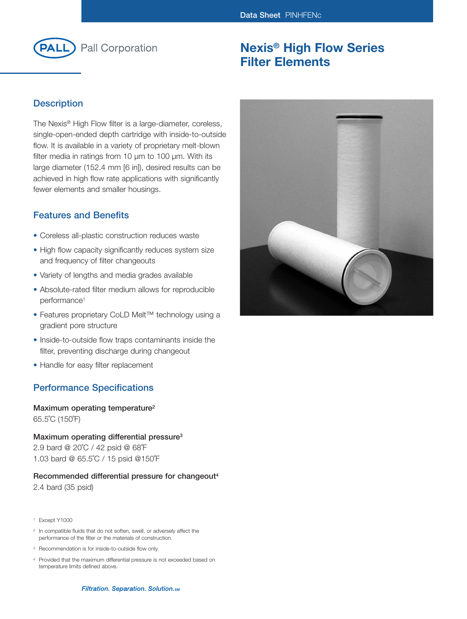

# **Nexis® High Flow Series Filter Elements**

## **Description**

The Nexis® High Flow filter is a large-diameter, coreless, single-open-ended depth cartridge with inside-to-outside flow. It is available in a variety of proprietary melt-blown filter media in ratings from 10  $\mu$ m to 100  $\mu$ m. With its large diameter (152.4 mm [6 in]), desired results can be achieved in high flow rate applications with significantly fewer elements and smaller housings.

### **Features and Benefits**

- Coreless all-plastic construction reduces waste
- High flow capacity significantly reduces system size and frequency of filter changeouts
- Variety of lengths and media grades available
- Absolute-rated filter medium allows for reproducible performance<sup>1</sup>
- Features proprietary CoLD Melt™ technology using a gradient pore structure
- Inside-to-outside flow traps contaminants inside the filter, preventing discharge during changeout
- Handle for easy filter replacement

## **Performance Specifications**

#### **Maximum operating temperature2** 65.5˚C (150˚F)

**Maximum operating differential pressure3** 2.9 bard @ 20˚C / 42 psid @ 68˚F 1.03 bard @ 65.5˚C / 15 psid @150˚F

#### **Recommended differential pressure for changeout4** 2.4 bard (35 psid)

- <sup>1</sup> Except Y1000
- <sup>2</sup> In compatible fluids that do not soften, swell, or adversely affect the performance of the filter or the materials of construction.
- <sup>3</sup> Recommendation is for inside-to-outside flow only.
- <sup>4</sup> Provided that the maximum differential pressure is not exceeded based on temperature limits defined above.